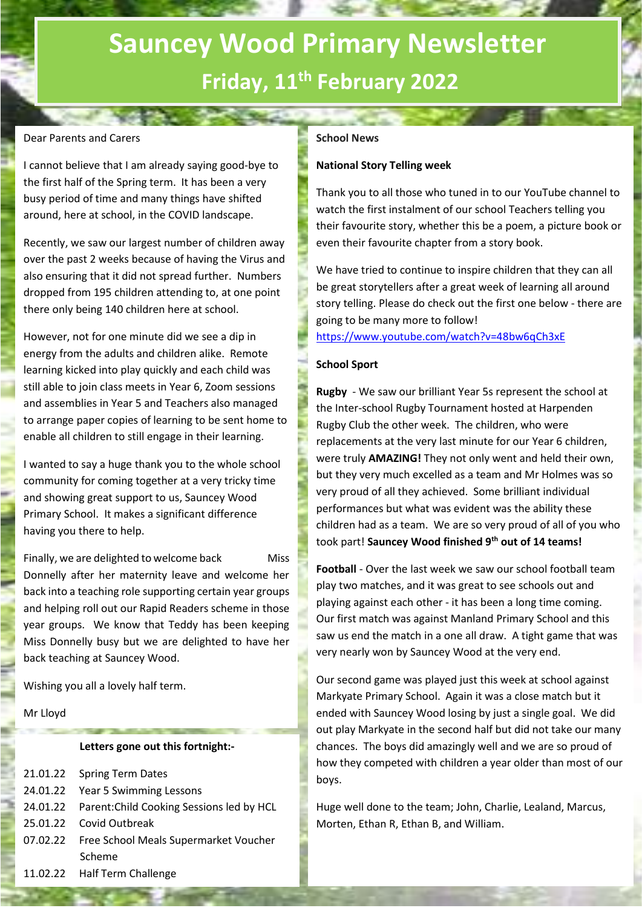### **Sauncey Wood Primary Newsletter Friday, 11th February 2022**

#### Dear Parents and Carers

I cannot believe that I am already saying good-bye to the first half of the Spring term. It has been a very busy period of time and many things have shifted around, here at school, in the COVID landscape.

Recently, we saw our largest number of children away over the past 2 weeks because of having the Virus and also ensuring that it did not spread further. Numbers dropped from 195 children attending to, at one point there only being 140 children here at school.

However, not for one minute did we see a dip in energy from the adults and children alike. Remote learning kicked into play quickly and each child was still able to join class meets in Year 6, Zoom sessions and assemblies in Year 5 and Teachers also managed to arrange paper copies of learning to be sent home to enable all children to still engage in their learning.

I wanted to say a huge thank you to the whole school community for coming together at a very tricky time and showing great support to us, Sauncey Wood Primary School. It makes a significant difference having you there to help.

Finally, we are delighted to welcome back Miss Donnelly after her maternity leave and welcome her back into a teaching role supporting certain year groups and helping roll out our Rapid Readers scheme in those year groups. We know that Teddy has been keeping Miss Donnelly busy but we are delighted to have her back teaching at Sauncey Wood.

Wishing you all a lovely half term.

Mr Lloyd

#### **Letters gone out this fortnight:-**

| 21.01.22 Spring Term Dates                         |
|----------------------------------------------------|
| 24.01.22 Year 5 Swimming Lessons                   |
| 24.01.22 Parent: Child Cooking Sessions led by HCL |
| 25.01.22 Covid Outbreak                            |
| 07.02.22 Free School Meals Supermarket Voucher     |
| Scheme                                             |
| 11.02.22 Half Term Challenge                       |

#### **School News**

#### **National Story Telling week**

Thank you to all those who tuned in to our YouTube channel to watch the first instalment of our school Teachers telling you their favourite story, whether this be a poem, a picture book or even their favourite chapter from a story book.

We have tried to continue to inspire children that they can all be great storytellers after a great week of learning all around story telling. Please do check out the first one below - there are going to be many more to follow!

#### <https://www.youtube.com/watch?v=48bw6qCh3xE>

#### **School Sport**

**Rugby** - We saw our brilliant Year 5s represent the school at the Inter-school Rugby Tournament hosted at Harpenden Rugby Club the other week. The children, who were replacements at the very last minute for our Year 6 children, were truly **AMAZING!** They not only went and held their own, but they very much excelled as a team and Mr Holmes was so very proud of all they achieved. Some brilliant individual performances but what was evident was the ability these children had as a team. We are so very proud of all of you who took part! **Sauncey Wood finished 9th out of 14 teams!**

**Football** - Over the last week we saw our school football team play two matches, and it was great to see schools out and playing against each other - it has been a long time coming. Our first match was against Manland Primary School and this saw us end the match in a one all draw. A tight game that was very nearly won by Sauncey Wood at the very end.

Our second game was played just this week at school against Markyate Primary School. Again it was a close match but it ended with Sauncey Wood losing by just a single goal. We did out play Markyate in the second half but did not take our many chances. The boys did amazingly well and we are so proud of how they competed with children a year older than most of our boys.

Huge well done to the team; John, Charlie, Lealand, Marcus, Morten, Ethan R, Ethan B, and William.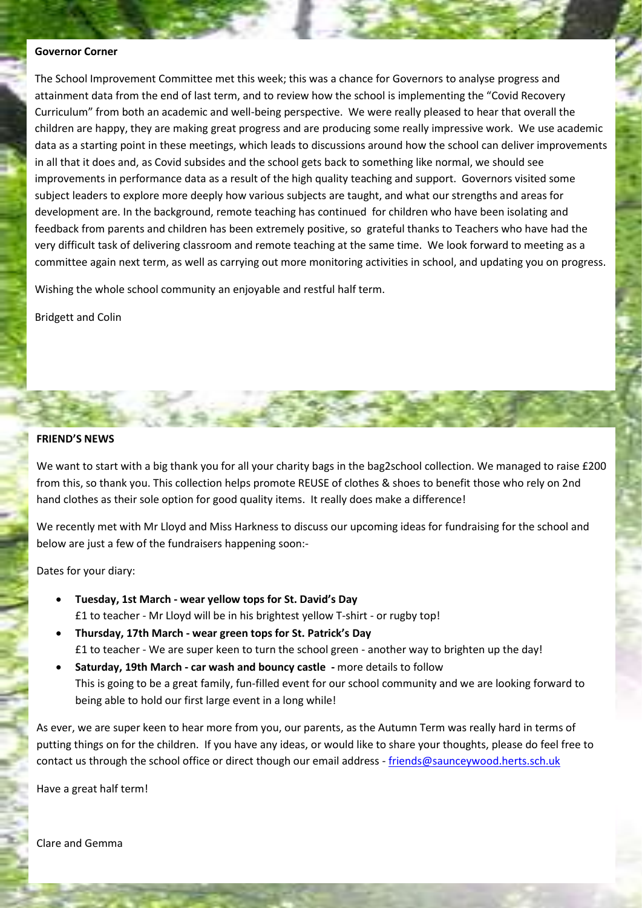#### **Governor Corner**

The School Improvement Committee met this week; this was a chance for Governors to analyse progress and attainment data from the end of last term, and to review how the school is implementing the "Covid Recovery Curriculum" from both an academic and well-being perspective. We were really pleased to hear that overall the children are happy, they are making great progress and are producing some really impressive work. We use academic data as a starting point in these meetings, which leads to discussions around how the school can deliver improvements in all that it does and, as Covid subsides and the school gets back to something like normal, we should see improvements in performance data as a result of the high quality teaching and support. Governors visited some subject leaders to explore more deeply how various subjects are taught, and what our strengths and areas for development are. In the background, remote teaching has continued for children who have been isolating and feedback from parents and children has been extremely positive, so grateful thanks to Teachers who have had the very difficult task of delivering classroom and remote teaching at the same time. We look forward to meeting as a committee again next term, as well as carrying out more monitoring activities in school, and updating you on progress.

Wishing the whole school community an enjoyable and restful half term.

Bridgett and Colin

#### **FRIEND'S NEWS**

We want to start with a big thank you for all your charity bags in the bag2school collection. We managed to raise £200 from this, so thank you. This collection helps promote REUSE of clothes & shoes to benefit those who rely on 2nd hand clothes as their sole option for good quality items. It really does make a difference!

We recently met with Mr Lloyd and Miss Harkness to discuss our upcoming ideas for fundraising for the school and below are just a few of the fundraisers happening soon:-

Dates for your diary:

- **Tuesday, 1st March - wear yellow tops for St. David's Day** £1 to teacher - Mr Lloyd will be in his brightest yellow T-shirt - or rugby top!
- **Thursday, 17th March - wear green tops for St. Patrick's Day** £1 to teacher - We are super keen to turn the school green - another way to brighten up the day!
- **Saturday, 19th March - car wash and bouncy castle -** more details to follow This is going to be a great family, fun-filled event for our school community and we are looking forward to being able to hold our first large event in a long while!

As ever, we are super keen to hear more from you, our parents, as the Autumn Term was really hard in terms of putting things on for the children. If you have any ideas, or would like to share your thoughts, please do feel free to contact us through the school office or direct though our email address - [friends@saunceywood.herts.sch.uk](mailto:friends@saunceywood.herts.sch.uk)

Have a great half term!

Clare and Gemma